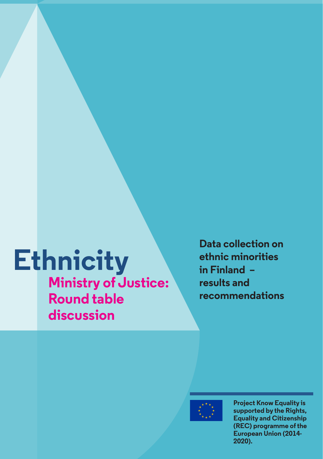# **Ethnicity Ministry of Justice: Round table discussion**

**Data collection on ethnic minorities in Finland – results and recommendations** 



**Project Know Equality is supported by the Rights, Equality and Citizenship (REC) programme of the European Union (2014- 2020).**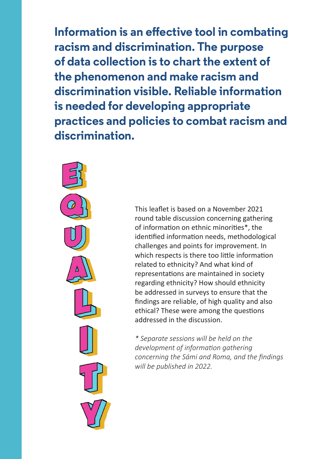**Information is an effective tool in combating racism and discrimination. The purpose of data collection is to chart the extent of the phenomenon and make racism and discrimination visible. Reliable information is needed for developing appropriate practices and policies to combat racism and discrimination.**



This leaflet is based on a November 2021 round table discussion concerning gathering of information on ethnic minorities\*, the identified information needs, methodological challenges and points for improvement. In which respects is there too little information related to ethnicity? And what kind of representations are maintained in society regarding ethnicity? How should ethnicity be addressed in surveys to ensure that the findings are reliable, of high quality and also ethical? These were among the questions addressed in the discussion.

*\* Separate sessions will be held on the development of information gathering concerning the Sámi and Roma, and the findings will be published in 2022.*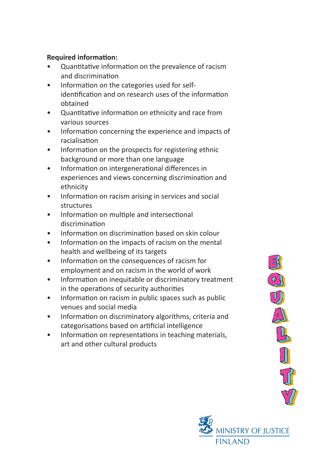# **Required information:**

- Quantitative information on the prevalence of racism and discrimination
- Information on the categories used for selfidentification and on research uses of the information obtained
- Quantitative information on ethnicity and race from various sources
- Information concerning the experience and impacts of racialisation
- Information on the prospects for registering ethnic background or more than one language
- Information on intergenerational differences in experiences and views concerning discrimination and ethnicity
- Information on racism arising in services and social structures
- Information on multiple and intersectional discrimination
- Information on discrimination based on skin colour
- Information on the impacts of racism on the mental health and wellbeing of its targets
- Information on the consequences of racism for employment and on racism in the world of work
- Information on inequitable or discriminatory treatment in the operations of security authorities
- Information on racism in public spaces such as public venues and social media
- Information on discriminatory algorithms, criteria and categorisations based on artificial intelligence
- Information on representations in teaching materials, art and other cultural products